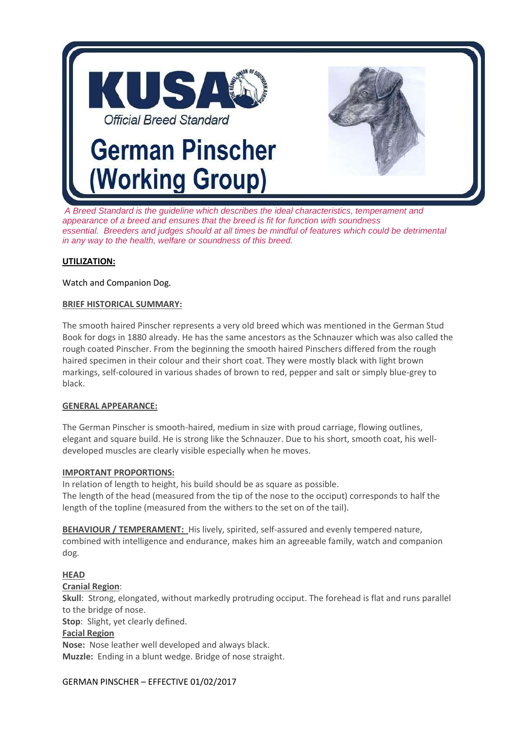

*A Breed Standard is the guideline which describes the ideal characteristics, temperament and appearance of a breed and ensures that the breed is fit for function with soundness essential. Breeders and judges should at all times be mindful of features which could be detrimental in any way to the health, welfare or soundness of this breed.*

## **UTILIZATION:**

## Watch and Companion Dog.

#### **BRIEF HISTORICAL SUMMARY:**

The smooth haired Pinscher represents a very old breed which was mentioned in the German Stud Book for dogs in 1880 already. He has the same ancestors as the Schnauzer which was also called the rough coated Pinscher. From the beginning the smooth haired Pinschers differed from the rough haired specimen in their colour and their short coat. They were mostly black with light brown markings, self-coloured in various shades of brown to red, pepper and salt or simply blue-grey to black.

#### **GENERAL APPEARANCE:**

The German Pinscher is smooth-haired, medium in size with proud carriage, flowing outlines, elegant and square build. He is strong like the Schnauzer. Due to his short, smooth coat, his welldeveloped muscles are clearly visible especially when he moves.

#### **IMPORTANT PROPORTIONS:**

In relation of length to height, his build should be as square as possible. The length of the head (measured from the tip of the nose to the occiput) corresponds to half the length of the topline (measured from the withers to the set on of the tail).

**BEHAVIOUR / TEMPERAMENT:** His lively, spirited, self-assured and evenly tempered nature, combined with intelligence and endurance, makes him an agreeable family, watch and companion dog.

# **HEAD**

**Cranial Region**:

**Skull**: Strong, elongated, without markedly protruding occiput. The forehead is flat and runs parallel to the bridge of nose.

**Stop**: Slight, yet clearly defined.

#### **Facial Region**

**Nose:** Nose leather well developed and always black. **Muzzle:** Ending in a blunt wedge. Bridge of nose straight.

#### GERMAN PINSCHER – EFFECTIVE 01/02/2017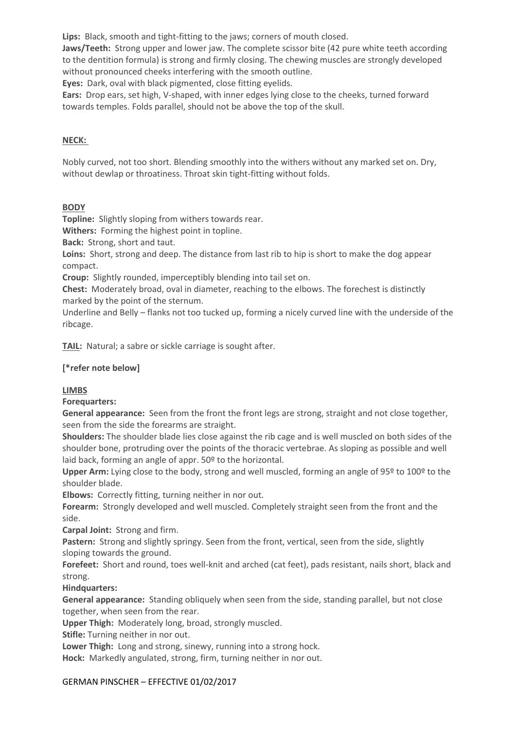**Lips:** Black, smooth and tight-fitting to the jaws; corners of mouth closed.

**Jaws/Teeth:** Strong upper and lower jaw. The complete scissor bite (42 pure white teeth according to the dentition formula) is strong and firmly closing. The chewing muscles are strongly developed without pronounced cheeks interfering with the smooth outline.

**Eyes:** Dark, oval with black pigmented, close fitting eyelids.

**Ears:** Drop ears, set high, V-shaped, with inner edges lying close to the cheeks, turned forward towards temples. Folds parallel, should not be above the top of the skull.

## **NECK:**

Nobly curved, not too short. Blending smoothly into the withers without any marked set on. Dry, without dewlap or throatiness. Throat skin tight-fitting without folds.

## **BODY**

**Topline:** Slightly sloping from withers towards rear.

**Withers:** Forming the highest point in topline.

**Back:** Strong, short and taut.

**Loins:** Short, strong and deep. The distance from last rib to hip is short to make the dog appear compact.

**Croup:** Slightly rounded, imperceptibly blending into tail set on.

**Chest:** Moderately broad, oval in diameter, reaching to the elbows. The forechest is distinctly marked by the point of the sternum.

Underline and Belly – flanks not too tucked up, forming a nicely curved line with the underside of the ribcage.

**TAIL:** Natural; a sabre or sickle carriage is sought after.

# **[\*refer note below]**

#### **LIMBS**

**Forequarters:**

**General appearance:** Seen from the front the front legs are strong, straight and not close together, seen from the side the forearms are straight.

**Shoulders:** The shoulder blade lies close against the rib cage and is well muscled on both sides of the shoulder bone, protruding over the points of the thoracic vertebrae. As sloping as possible and well laid back, forming an angle of appr. 50º to the horizontal.

**Upper Arm:** Lying close to the body, strong and well muscled, forming an angle of 95º to 100º to the shoulder blade.

**Elbows:** Correctly fitting, turning neither in nor out.

**Forearm:** Strongly developed and well muscled. Completely straight seen from the front and the side.

**Carpal Joint:** Strong and firm.

**Pastern:** Strong and slightly springy. Seen from the front, vertical, seen from the side, slightly sloping towards the ground.

**Forefeet:** Short and round, toes well-knit and arched (cat feet), pads resistant, nails short, black and strong.

#### **Hindquarters:**

**General appearance:** Standing obliquely when seen from the side, standing parallel, but not close together, when seen from the rear.

**Upper Thigh:** Moderately long, broad, strongly muscled.

**Stifle:** Turning neither in nor out.

**Lower Thigh:** Long and strong, sinewy, running into a strong hock.

**Hock:** Markedly angulated, strong, firm, turning neither in nor out.

#### GERMAN PINSCHER – EFFECTIVE 01/02/2017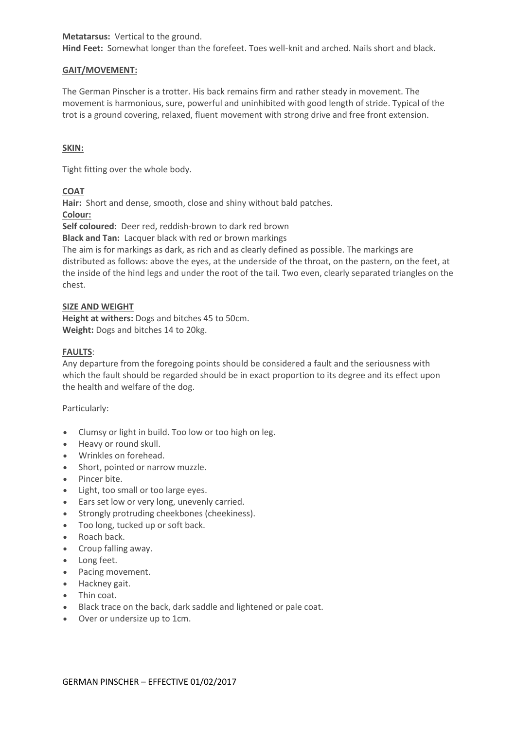**Metatarsus:** Vertical to the ground.

**Hind Feet:** Somewhat longer than the forefeet. Toes well-knit and arched. Nails short and black.

#### **GAIT/MOVEMENT:**

The German Pinscher is a trotter. His back remains firm and rather steady in movement. The movement is harmonious, sure, powerful and uninhibited with good length of stride. Typical of the trot is a ground covering, relaxed, fluent movement with strong drive and free front extension.

## **SKIN:**

Tight fitting over the whole body.

## **COAT**

**Hair:** Short and dense, smooth, close and shiny without bald patches.

**Colour:**

**Self coloured:** Deer red, reddish-brown to dark red brown

**Black and Tan:** Lacquer black with red or brown markings

The aim is for markings as dark, as rich and as clearly defined as possible. The markings are distributed as follows: above the eyes, at the underside of the throat, on the pastern, on the feet, at the inside of the hind legs and under the root of the tail. Two even, clearly separated triangles on the chest.

#### **SIZE AND WEIGHT**

**Height at withers:** Dogs and bitches 45 to 50cm. **Weight:** Dogs and bitches 14 to 20kg.

## **FAULTS**:

Any departure from the foregoing points should be considered a fault and the seriousness with which the fault should be regarded should be in exact proportion to its degree and its effect upon the health and welfare of the dog.

#### Particularly:

- Clumsy or light in build. Too low or too high on leg.
- Heavy or round skull.
- Wrinkles on forehead.
- Short, pointed or narrow muzzle.
- Pincer bite.
- Light, too small or too large eyes.
- Ears set low or very long, unevenly carried.
- Strongly protruding cheekbones (cheekiness).
- Too long, tucked up or soft back.
- Roach back.
- Croup falling away.
- Long feet.
- Pacing movement.
- Hackney gait.
- Thin coat.
- Black trace on the back, dark saddle and lightened or pale coat.
- Over or undersize up to 1cm.